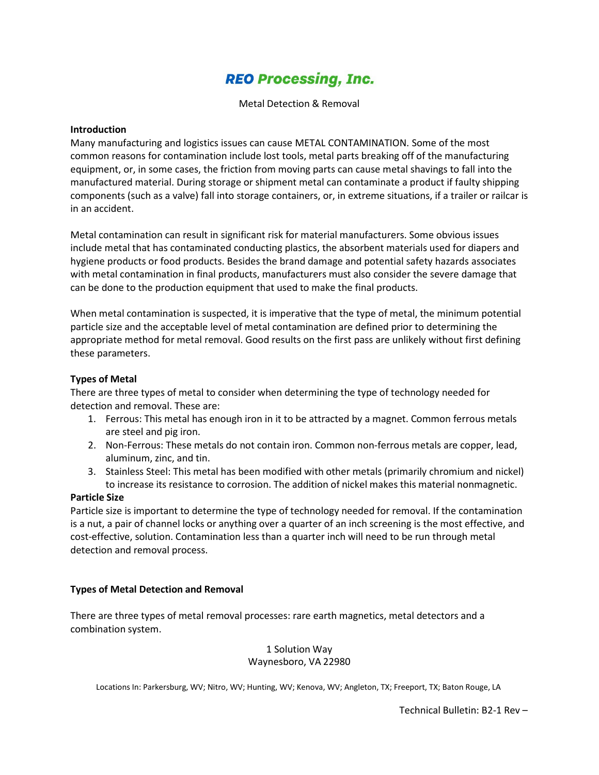# **REO Processing, Inc.**

Metal Detection & Removal

#### **Introduction**

Many manufacturing and logistics issues can cause METAL CONTAMINATION. Some of the most common reasons for contamination include lost tools, metal parts breaking off of the manufacturing equipment, or, in some cases, the friction from moving parts can cause metal shavings to fall into the manufactured material. During storage or shipment metal can contaminate a product if faulty shipping components (such as a valve) fall into storage containers, or, in extreme situations, if a trailer or railcar is in an accident.

Metal contamination can result in significant risk for material manufacturers. Some obvious issues include metal that has contaminated conducting plastics, the absorbent materials used for diapers and hygiene products or food products. Besides the brand damage and potential safety hazards associates with metal contamination in final products, manufacturers must also consider the severe damage that can be done to the production equipment that used to make the final products.

When metal contamination is suspected, it is imperative that the type of metal, the minimum potential particle size and the acceptable level of metal contamination are defined prior to determining the appropriate method for metal removal. Good results on the first pass are unlikely without first defining these parameters.

### **Types of Metal**

There are three types of metal to consider when determining the type of technology needed for detection and removal. These are:

- 1. Ferrous: This metal has enough iron in it to be attracted by a magnet. Common ferrous metals are steel and pig iron.
- 2. Non-Ferrous: These metals do not contain iron. Common non-ferrous metals are copper, lead, aluminum, zinc, and tin.
- 3. Stainless Steel: This metal has been modified with other metals (primarily chromium and nickel) to increase its resistance to corrosion. The addition of nickel makes this material nonmagnetic.

#### **Particle Size**

Particle size is important to determine the type of technology needed for removal. If the contamination is a nut, a pair of channel locks or anything over a quarter of an inch screening is the most effective, and cost-effective, solution. Contamination less than a quarter inch will need to be run through metal detection and removal process.

#### **Types of Metal Detection and Removal**

There are three types of metal removal processes: rare earth magnetics, metal detectors and a combination system.

#### 1 Solution Way Waynesboro, VA 22980

Locations In: Parkersburg, WV; Nitro, WV; Hunting, WV; Kenova, WV; Angleton, TX; Freeport, TX; Baton Rouge, LA

Technical Bulletin: B2-1 Rev –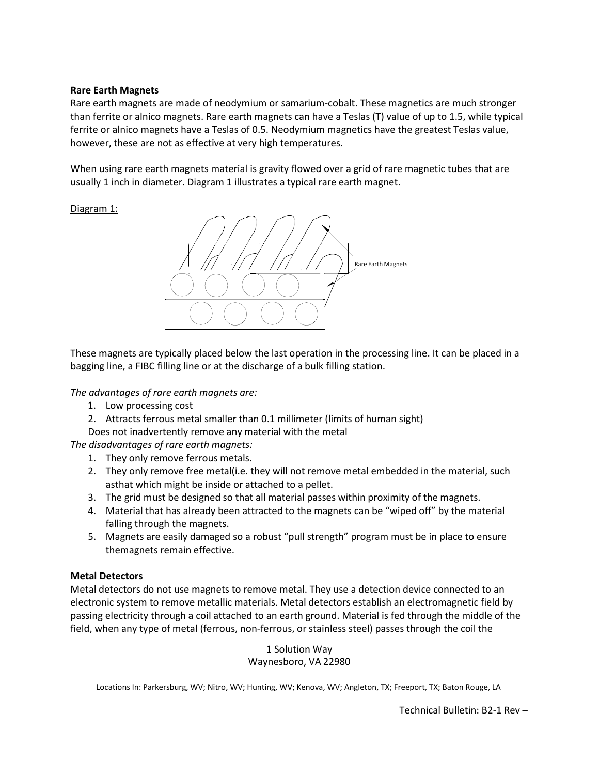#### **Rare Earth Magnets**

Rare earth magnets are made of neodymium or samarium-cobalt. These magnetics are much stronger than ferrite or alnico magnets. Rare earth magnets can have a Teslas (T) value of up to 1.5, while typical ferrite or alnico magnets have a Teslas of 0.5. Neodymium magnetics have the greatest Teslas value, however, these are not as effective at very high temperatures.

When using rare earth magnets material is gravity flowed over a grid of rare magnetic tubes that are usually 1 inch in diameter. Diagram 1 illustrates a typical rare earth magnet.

#### Diagram 1:



These magnets are typically placed below the last operation in the processing line. It can be placed in a bagging line, a FIBC filling line or at the discharge of a bulk filling station.

*The advantages of rare earth magnets are:*

- 1. Low processing cost
- 2. Attracts ferrous metal smaller than 0.1 millimeter (limits of human sight)
- Does not inadvertently remove any material with the metal

*The disadvantages of rare earth magnets:*

- 1. They only remove ferrous metals.
- 2. They only remove free metal(i.e. they will not remove metal embedded in the material, such asthat which might be inside or attached to a pellet.
- 3. The grid must be designed so that all material passes within proximity of the magnets.
- 4. Material that has already been attracted to the magnets can be "wiped off" by the material falling through the magnets.
- 5. Magnets are easily damaged so a robust "pull strength" program must be in place to ensure themagnets remain effective.

#### **Metal Detectors**

Metal detectors do not use magnets to remove metal. They use a detection device connected to an electronic system to remove metallic materials. Metal detectors establish an electromagnetic field by passing electricity through a coil attached to an earth ground. Material is fed through the middle of the field, when any type of metal (ferrous, non-ferrous, or stainless steel) passes through the coil the

#### 1 Solution Way Waynesboro, VA 22980

Locations In: Parkersburg, WV; Nitro, WV; Hunting, WV; Kenova, WV; Angleton, TX; Freeport, TX; Baton Rouge, LA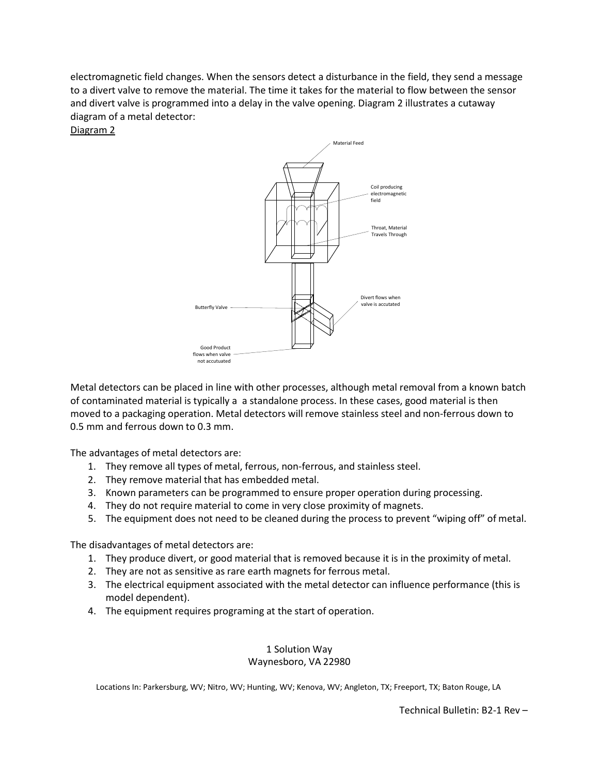electromagnetic field changes. When the sensors detect a disturbance in the field, they send a message to a divert valve to remove the material. The time it takes for the material to flow between the sensor and divert valve is programmed into a delay in the valve opening. Diagram 2 illustrates a cutaway diagram of a metal detector:

Diagram 2



Metal detectors can be placed in line with other processes, although metal removal from a known batch of contaminated material is typically a a standalone process. In these cases, good material is then moved to a packaging operation. Metal detectors will remove stainless steel and non-ferrous down to 0.5 mm and ferrous down to 0.3 mm.

The advantages of metal detectors are:

- 1. They remove all types of metal, ferrous, non-ferrous, and stainless steel.
- 2. They remove material that has embedded metal.
- 3. Known parameters can be programmed to ensure proper operation during processing.
- 4. They do not require material to come in very close proximity of magnets.
- 5. The equipment does not need to be cleaned during the process to prevent "wiping off" of metal.

The disadvantages of metal detectors are:

- 1. They produce divert, or good material that is removed because it is in the proximity of metal.
- 2. They are not as sensitive as rare earth magnets for ferrous metal.
- 3. The electrical equipment associated with the metal detector can influence performance (this is model dependent).
- 4. The equipment requires programing at the start of operation.

#### 1 Solution Way Waynesboro, VA 22980

Locations In: Parkersburg, WV; Nitro, WV; Hunting, WV; Kenova, WV; Angleton, TX; Freeport, TX; Baton Rouge, LA

Technical Bulletin: B2-1 Rev –